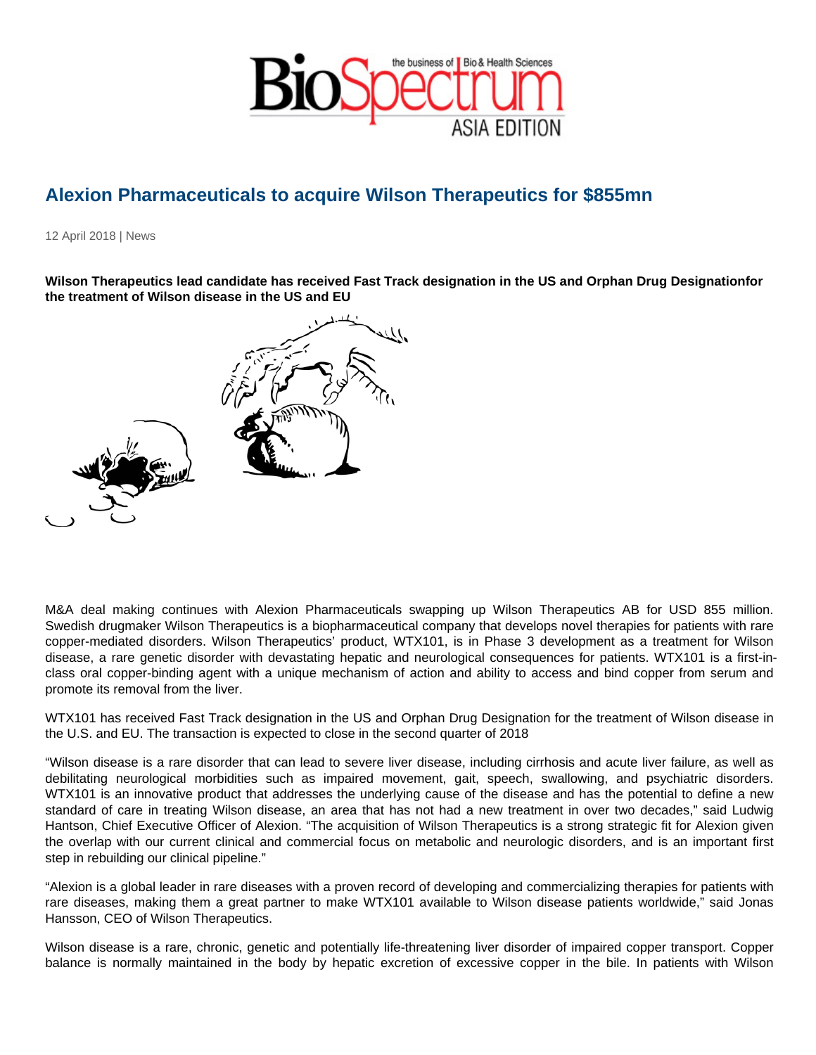## Alexion Pharmaceuticals to acquire Wilson Therapeutics for \$855mn

12 April 2018 | News

Wilson Therapeutics lead candidate has received Fast Track designation in the US and Orphan Drug Designation for the treatment of Wilson disease in the US and EU

M&A deal making continues with Alexion Pharmaceuticals swapping up Wilson Therapeutics AB for USD 855 million. Swedish drugmaker Wilson Therapeutics is a biopharmaceutical company that develops novel therapies for patients with rare copper-mediated disorders. Wilson Therapeutics' product, WTX101, is in Phase 3 development as a treatment for Wilson disease, a rare genetic disorder with devastating hepatic and neurological consequences for patients. WTX101 is a first-inclass oral copper-binding agent with a unique mechanism of action and ability to access and bind copper from serum and promote its removal from the liver.

WTX101 has received Fast Track designation in the US and Orphan Drug Designation for the treatment of Wilson disease in the U.S. and EU. The transaction is expected to close in the second quarter of 2018

"Wilson disease is a rare disorder that can lead to severe liver disease, including cirrhosis and acute liver failure, as well as debilitating neurological morbidities such as impaired movement, gait, speech, swallowing, and psychiatric disorders. WTX101 is an innovative product that addresses the underlying cause of the disease and has the potential to define a new standard of care in treating Wilson disease, an area that has not had a new treatment in over two decades," said Ludwig Hantson, Chief Executive Officer of Alexion. "The acquisition of Wilson Therapeutics is a strong strategic fit for Alexion given the overlap with our current clinical and commercial focus on metabolic and neurologic disorders, and is an important first step in rebuilding our clinical pipeline."

"Alexion is a global leader in rare diseases with a proven record of developing and commercializing therapies for patients with rare diseases, making them a great partner to make WTX101 available to Wilson disease patients worldwide," said Jonas Hansson, CEO of Wilson Therapeutics.

Wilson disease is a rare, chronic, genetic and potentially life-threatening liver disorder of impaired copper transport. Copper balance is normally maintained in the body by hepatic excretion of excessive copper in the bile. In patients with Wilson